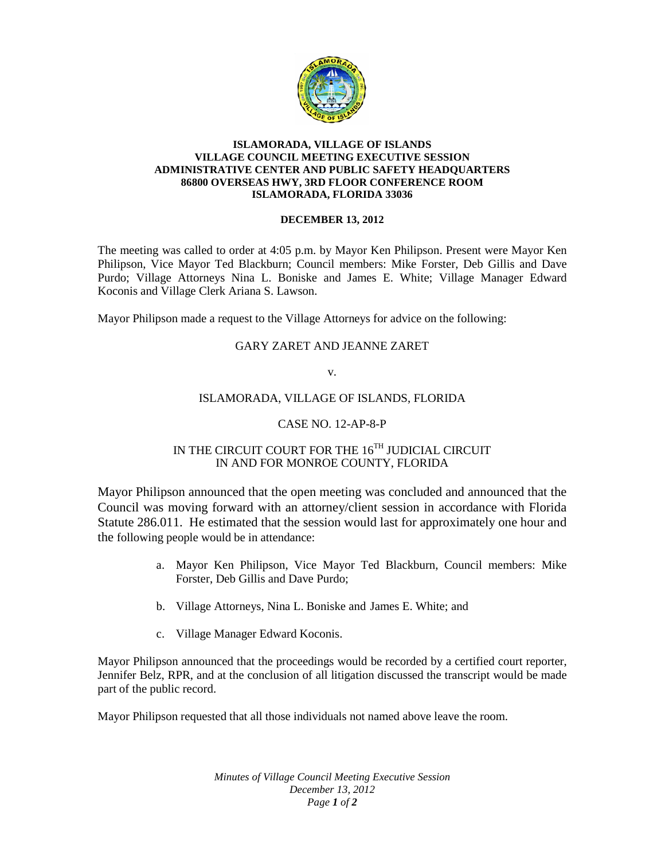

### **ISLAMORADA, VILLAGE OF ISLANDS VILLAGE COUNCIL MEETING EXECUTIVE SESSION ADMINISTRATIVE CENTER AND PUBLIC SAFETY HEADQUARTERS 86800 OVERSEAS HWY, 3RD FLOOR CONFERENCE ROOM ISLAMORADA, FLORIDA 33036**

### **DECEMBER 13, 2012**

The meeting was called to order at 4:05 p.m. by Mayor Ken Philipson. Present were Mayor Ken Philipson, Vice Mayor Ted Blackburn; Council members: Mike Forster, Deb Gillis and Dave Purdo; Village Attorneys Nina L. Boniske and James E. White; Village Manager Edward Koconis and Village Clerk Ariana S. Lawson.

Mayor Philipson made a request to the Village Attorneys for advice on the following:

# GARY ZARET AND JEANNE ZARET

v.

## ISLAMORADA, VILLAGE OF ISLANDS, FLORIDA

## CASE NO. 12-AP-8-P

# IN THE CIRCUIT COURT FOR THE  $16^{\mathrm{TH}}$  JUDICIAL CIRCUIT IN AND FOR MONROE COUNTY, FLORIDA

Mayor Philipson announced that the open meeting was concluded and announced that the Council was moving forward with an attorney/client session in accordance with Florida Statute 286.011. He estimated that the session would last for approximately one hour and the following people would be in attendance:

- a. Mayor Ken Philipson, Vice Mayor Ted Blackburn, Council members: Mike Forster, Deb Gillis and Dave Purdo;
- b. Village Attorneys, Nina L. Boniske and James E. White; and
- c. Village Manager Edward Koconis.

Mayor Philipson announced that the proceedings would be recorded by a certified court reporter, Jennifer Belz, RPR, and at the conclusion of all litigation discussed the transcript would be made part of the public record.

Mayor Philipson requested that all those individuals not named above leave the room.

*Minutes of Village Council Meeting Executive Session December 13, 2012 Page 1 of 2*